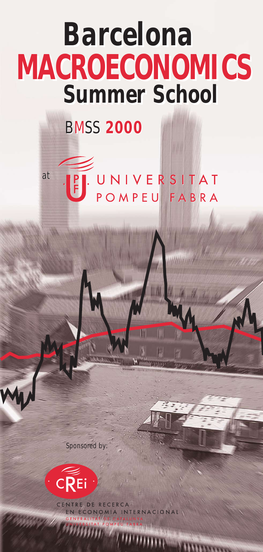# *Summer School Barcelona* **MACROECONOMICS**

## BMSS**2000**

FUNIVERSITAT at

Sponsored by:



DE RECERO RNACIONAL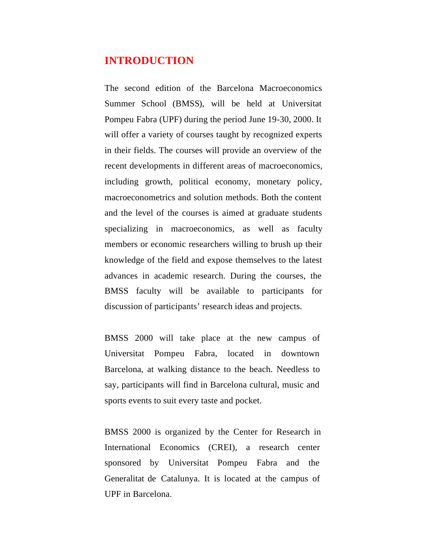## **INTRODUCTION**

The second edition of the Barcelona Macroeconomics Summer School (BMSS), will be held at Universitat Pompeu Fabra (UPF) during the period June 19-30, 2000. It will offer a variety of courses taught by recognized experts in their fields. The courses will provide an overview of the recent developments in different areas of macroeconomics, including growth, political economy, monetary policy, macroeconometrics and solution methods. Both the content and the level of the courses is aimed at graduate students specializing in macroeconomics, as well as faculty members or economic researchers willing to brush up their knowledge of the field and expose themselves to the latest advances in academic research. During the courses, the BMSS faculty will be available to participants for discussion of participants' research ideas and projects.

BMSS 2000 will take place at the new campus of Universitat Pompeu Fabra, located in downtown Barcelona, at walking distance to the beach. Needless to say, participants will find in Barcelona cultural, music and sports events to suit every taste and pocket.

BMSS 2000 is organized by the Center for Research in International Economics (CREI), a research center sponsored by Universitat Pompeu Fabra and the Generalitat de Catalunya. It is located at the campus of UPF in Barcelona.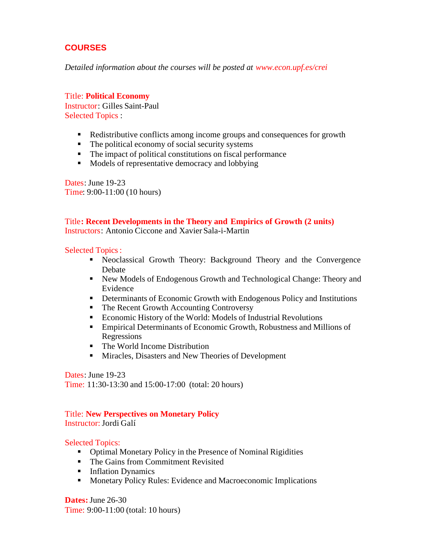## **COURSES**

*Detailed information about the courses will be posted at www.econ.upf.es/crei*

Title: **Political Economy** Instructor: Gilles Saint-Paul Selected Topics :

- Redistributive conflicts among income groups and consequences for growth
- $\blacksquare$  The political economy of social security systems
- $\blacksquare$  The impact of political constitutions on fiscal performance
- Models of representative democracy and lobbying

Dates: June 19-23 Time: 9:00-11:00 (10 hours)

## Title**: Recent Developments in the Theory and Empirics of Growth (2 units)**

Instructors: Antonio Ciccone and Xavier Sala-i-Martin

Selected Topics :

- **•** Neoclassical Growth Theory: Background Theory and the Convergence Debate
- Rew Models of Endogenous Growth and Technological Change: Theory and Evidence
- **•** Determinants of Economic Growth with Endogenous Policy and Institutions
- The Recent Growth Accounting Controversy
- Economic History of the World: Models of Industrial Revolutions
- Empirical Determinants of Economic Growth, Robustness and Millions of Regressions
- ß The World Income Distribution
- **KRITA Miracles, Disasters and New Theories of Development**

Dates: June 19-23 Time: 11:30-13:30 and 15:00-17:00 (total: 20 hours)

#### Title: **New Perspectives on Monetary Policy** Instructor: Jordi Galí

Selected Topics:

- **•** Optimal Monetary Policy in the Presence of Nominal Rigidities
- The Gains from Commitment Revisited
- **Inflation Dynamics**
- **KED Monetary Policy Rules: Evidence and Macroeconomic Implications**

**Dates:** June 26-30 Time: 9:00-11:00 (total: 10 hours)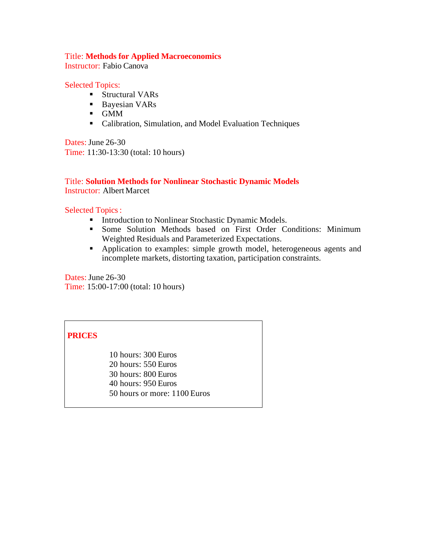#### Title: **Methods for Applied Macroeconomics**

Instructor: Fabio Canova

#### Selected Topics:

- Structural VARs
- Bayesian VARs
- ß GMM
- **EXEC** Calibration, Simulation, and Model Evaluation Techniques

Dates: June 26-30 Time: 11:30-13:30 (total: 10 hours)

### Title: **Solution Methods for Nonlinear Stochastic Dynamic Models** Instructor: Albert Marcet

### Selected Topics :

- **Introduction to Nonlinear Stochastic Dynamic Models.**
- **Some Solution Methods based on First Order Conditions: Minimum** Weighted Residuals and Parameterized Expectations.
- **•** Application to examples: simple growth model, heterogeneous agents and incomplete markets, distorting taxation, participation constraints.

Dates: June 26-30 Time: 15:00-17:00 (total: 10 hours)

## **PRICES**

10 hours: 300 Euros 20 hours: 550 Euros 30 hours: 800 Euros 40 hours: 950 Euros 50 hours or more: 1100 Euros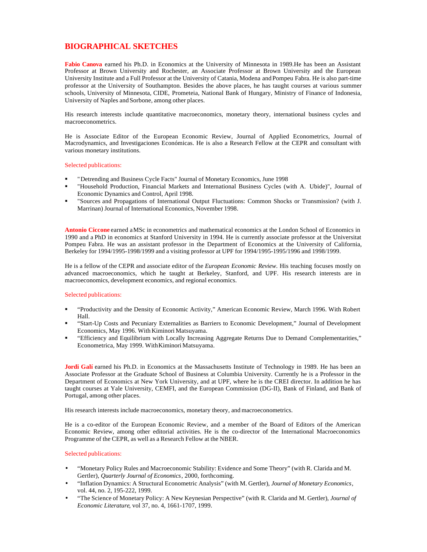## **BIOGRAPHICAL SKETCHES**

Fabio Canova earned his Ph.D. in Economics at the University of Minnesota in 1989.He has been an Assistant Professor at Brown University and Rochester, an Associate Professor at Brown University and the European University Institute and a Full Professor at the University of Catania, Modena and Pompeu Fabra. He is also part-time professor at the University of Southampton. Besides the above places, he has taught courses at various summer schools, University of Minnesota, CIDE, Prometeia, National Bank of Hungary, Ministry of Finance of Indonesia, University of Naples and Sorbone, among other places.

His research interests include quantitative macroeconomics, monetary theory, international business cycles and macroeconometrics.

He is Associate Editor of the European Economic Review, Journal of Applied Econometrics, Journal of Macrodynamics, and Investigaciones Económicas. He is also a Research Fellow at the CEPR and consultant with various monetary institutions.

#### Selected publications:

- ß "Detrending and Business Cycle Facts" Journal of Monetary Economics, June 1998
- ß "Household Production, Financial Markets and International Business Cycles (with A. Ubide)", Journal of Economic Dynamics and Control, April 1998.
- ß "Sources and Propagations of International Output Fluctuations: Common Shocks or Transmission? (with J. Marrinan) Journal of International Economics, November 1998.

**Antonio Ciccone** earned a MSc in econometrics and mathematical economics at the London School of Economics in 1990 and a PhD in economics at Stanford University in 1994. He is currently associate professor at the Universitat Pompeu Fabra. He was an assistant professor in the Department of Economics at the University of California, Berkeley for 1994/1995-1998/1999 and a visiting professor at UPF for 1994/1995-1995/1996 and 1998/1999.

He is a fellow of the CEPR and associate editor of the *European Economic Review*. His teaching focuses mostly on advanced macroeconomics, which he taught at Berkeley, Stanford, and UPF. His research interests are in macroeconomics, development economics, and regional economics.

#### Selected publications:

- ß "Productivity and the Density of Economic Activity," American Economic Review, March 1996. With Robert Hall.
- ß "Start-Up Costs and Pecuniary Externalities as Barriers to Economic Development," Journal of Development Economics, May 1996. With Kiminori Matsuyama.
- ß "Efficiency and Equilibrium with Locally Increasing Aggregate Returns Due to Demand Complementarities," Econometrica, May 1999. With Kiminori Matsuyama.

**Jordi Galí** earned his Ph.D. in Economics at the Massachusetts Institute of Technology in 1989. He has been an Associate Professor at the Graduate School of Business at Columbia University. Currently he is a Professor in the Department of Economics at New York University, and at UPF, where he is the CREI director. In addition he has taught courses at Yale University, CEMFI, and the European Commission (DG-II), Bank of Finland, and Bank of Portugal, among other places.

His research interests include macroeconomics, monetary theory, and macroeconometrics.

He is a co-editor of the European Economic Review, and a member of the Board of Editors of the American Economic Review, among other editorial activities. He is the co-director of the International Macroeconomics Programme of the CEPR, as well as a Research Fellow at the NBER.

#### Selected publications:

- "Monetary Policy Rules and Macroeconomic Stability: Evidence and Some Theory" (with R. Clarida and M. Gertler), *Quarterly Journal of Economics*, 2000, forthcoming.
- "Inflation Dynamics: A Structural Econometric Analysis" (with M. Gertler), *Journal of Monetary Economics*, vol. 44, no. 2, 195-222, 1999.
- "The Science of Monetary Policy: A New Keynesian Perspective" (with R. Clarida and M. Gertler), *Journal of Economic Literature*, vol 37, no. 4, 1661-1707, 1999.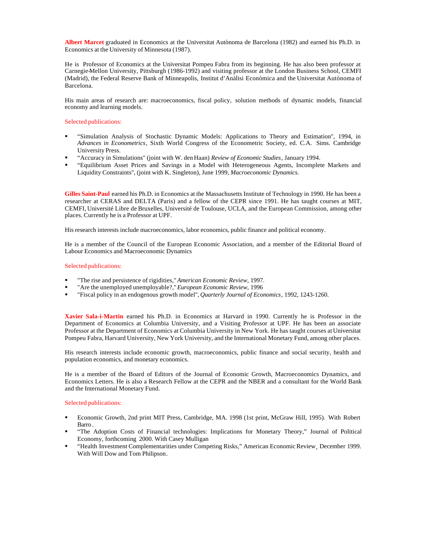**Albert Marcet** graduated in Economics at the Universitat Autònoma de Barcelona (1982) and earned his Ph.D. in Economics at the University of Minnesota (1987).

He is Professor of Economics at the Universitat Pompeu Fabra from its beginning. He has also been professor at Carnegie-Mellon University, Pittsburgh (1986-1992) and visiting professor at the London Business School, CEMFI (Madrid), the Federal Reserve Bank of Minneapolis, Institut d'Anàlisi Econòmica and the Universitat Autònoma of Barcelona.

His main areas of research are: macroeconomics, fiscal policy, solution methods of dynamic models, financial economy and learning models.

#### Selected publications:

- ß "Simulation Analysis of Stochastic Dynamic Models: Applications to Theory and Estimation'', 1994, in *Advances in Econometrics*, Sixth World Congress of the Econometric Society, ed. C.A. Sims. Cambridge University Press.
- ß "Accuracy in Simulations'' (joint with W. den Haan) *Review of Economic Studies*, January 1994.
- ß "Equilibrium Asset Prices and Savings in a Model with Heterogeneous Agents, Incomplete Markets and Liquidity Constraints'', (joint with K. Singleton), June 1999, *Macroeconomic Dynamics.*

**Gilles Saint-Paul** earned his Ph.D. in Economics at the Massachusetts Institute of Technology in 1990. He has been a researcher at CERAS and DELTA (Paris) and a fellow of the CEPR since 1991. He has taught courses at MIT, CEMFI, Université Libre de Bruxelles, Université de Toulouse, UCLA, and the European Commission, among other places. Currently he is a Professor at UPF.

His research interests include macroeconomics, labor economics, public finance and political economy.

He is a member of the Council of the European Economic Association, and a member of the Editorial Board of Labour Economics and Macroeconomic Dynamics

#### Selected publications:

- ß "The rise and persistence of rigidities," *American Economic Review*, 1997.
- ß "Are the unemployed unemployable?," *European Economic Review*, 1996
- ß "Fiscal policy in an endogenous growth model", *Quarterly Journal of Economics*, 1992, 1243-1260.

**Xavier Sala-i-Martin** earned his Ph.D. in Economics at Harvard in 1990. Currently he is Professor in the Department of Economics at Columbia University, and a Visiting Professor at UPF. He has been an associate Professor at the Department of Economics at Columbia University in New York. He has taught courses at Universitat Pompeu Fabra, Harvard University, New York University, and the International Monetary Fund, among other places.

His research interests include economic growth, macroeconomics, public finance and social security, health and population economics, and monetary economics.

He is a member of the Board of Editors of the Journal of Economic Growth, Macroeconomics Dynamics, and Economics Letters. He is also a Research Fellow at the CEPR and the NBER and a consultant for the World Bank and the International Monetary Fund.

#### Selected publications:

- ß Economic Growth, 2nd print MIT Press, Cambridge, MA. 1998 (1st print, McGraw Hill, 1995). With Robert Barro .
- ß "The Adoption Costs of Financial technologies: Implications for Monetary Theory," Journal of Political Economy, forthcoming 2000. With Casey Mulligan
- ß "Health Investment Complementarities under Competing Risks," American Economic Review¸ December 1999. With Will Dow and Tom Philipson.